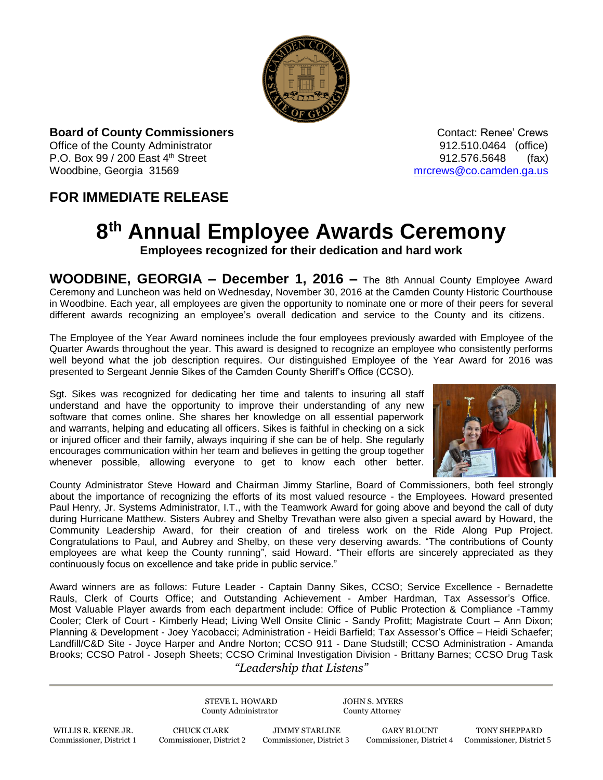

**Board of County Commissioners Contact: Renee' Crews Contact: Renee' Crews** Office of the County Administrator **Connect Administrator 12.510.0464** (office) P.O. Box 99 / 200 East 4<sup>th</sup> Street 912.576.5648 (fax) Woodbine, Georgia 31569 [mrcrews@co.camden.ga.us](mailto:mrcrews@co.camden.ga.us)

## **FOR IMMEDIATE RELEASE**

## **8 th Annual Employee Awards Ceremony**

**Employees recognized for their dedication and hard work**

**WOODBINE, GEORGIA – December 1, 2016 –** The 8th Annual County Employee Award Ceremony and Luncheon was held on Wednesday, November 30, 2016 at the Camden County Historic Courthouse in Woodbine. Each year, all employees are given the opportunity to nominate one or more of their peers for several different awards recognizing an employee's overall dedication and service to the County and its citizens.

The Employee of the Year Award nominees include the four employees previously awarded with Employee of the Quarter Awards throughout the year. This award is designed to recognize an employee who consistently performs well beyond what the job description requires. Our distinguished Employee of the Year Award for 2016 was presented to Sergeant Jennie Sikes of the Camden County Sheriff's Office (CCSO).

Sgt. Sikes was recognized for dedicating her time and talents to insuring all staff understand and have the opportunity to improve their understanding of any new software that comes online. She shares her knowledge on all essential paperwork and warrants, helping and educating all officers. Sikes is faithful in checking on a sick or injured officer and their family, always inquiring if she can be of help. She regularly encourages communication within her team and believes in getting the group together whenever possible, allowing everyone to get to know each other better.



County Administrator Steve Howard and Chairman Jimmy Starline, Board of Commissioners, both feel strongly about the importance of recognizing the efforts of its most valued resource - the Employees. Howard presented Paul Henry, Jr. Systems Administrator, I.T., with the Teamwork Award for going above and beyond the call of duty during Hurricane Matthew. Sisters Aubrey and Shelby Trevathan were also given a special award by Howard, the Community Leadership Award, for their creation of and tireless work on the Ride Along Pup Project. Congratulations to Paul, and Aubrey and Shelby, on these very deserving awards. "The contributions of County employees are what keep the County running", said Howard. "Their efforts are sincerely appreciated as they continuously focus on excellence and take pride in public service."

Award winners are as follows: Future Leader - Captain Danny Sikes, CCSO; Service Excellence - Bernadette Rauls, Clerk of Courts Office; and Outstanding Achievement - Amber Hardman, Tax Assessor's Office. Most Valuable Player awards from each department include: Office of Public Protection & Compliance -Tammy Cooler; Clerk of Court - Kimberly Head; Living Well Onsite Clinic - Sandy Profitt; Magistrate Court – Ann Dixon; Planning & Development - Joey Yacobacci; Administration - Heidi Barfield; Tax Assessor's Office – Heidi Schaefer; Landfill/C&D Site - Joyce Harper and Andre Norton; CCSO 911 - Dane Studstill; CCSO Administration - Amanda Brooks; CCSO Patrol - Joseph Sheets; CCSO Criminal Investigation Division - Brittany Barnes; CCSO Drug Task

*"Leadership that Listens"*

STEVE L. HOWARD JOHN S. MYERS County Administrator County Attorney

WILLIS R. KEENE JR. CHUCK CLARK JIMMY STARLINE GARY BLOUNT TONY SHEPPARD

Commissioner, District 4 Commissioner, District 5